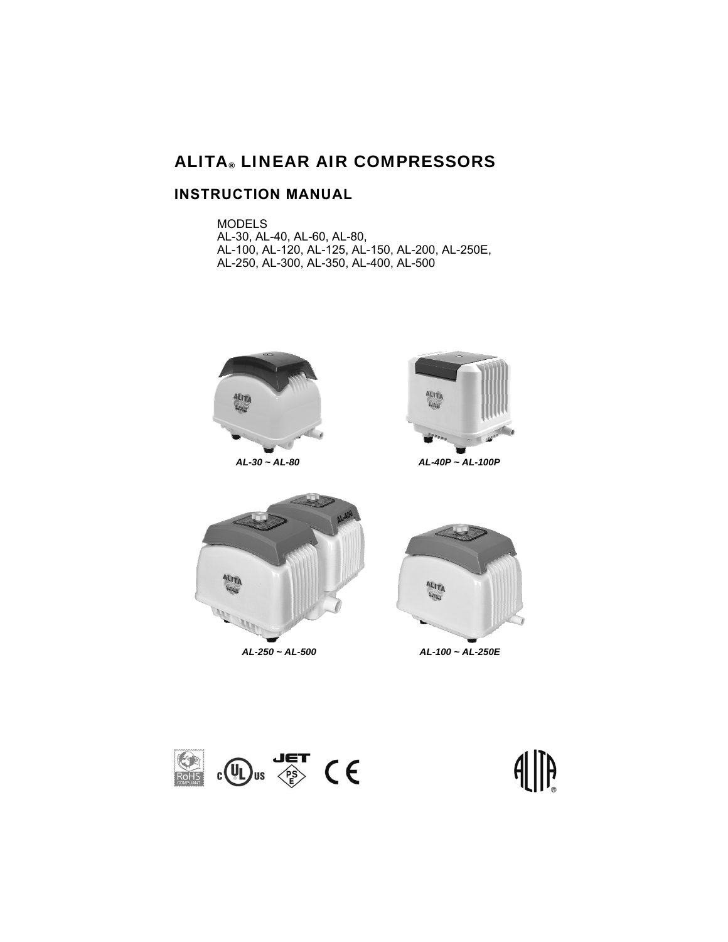# ALITA® LINEAR AIR COMPRESSORS

## **INSTRUCTION MANUAL**

 MODELS AL-30, AL-40, AL-60, AL-80, AL-100, AL-120, AL-125, AL-150, AL-200, AL-250E, AL-250, AL-300, AL-350, AL-400, AL-500





*AL-30 ~ AL-80 AL-40P ~ AL-100P* 







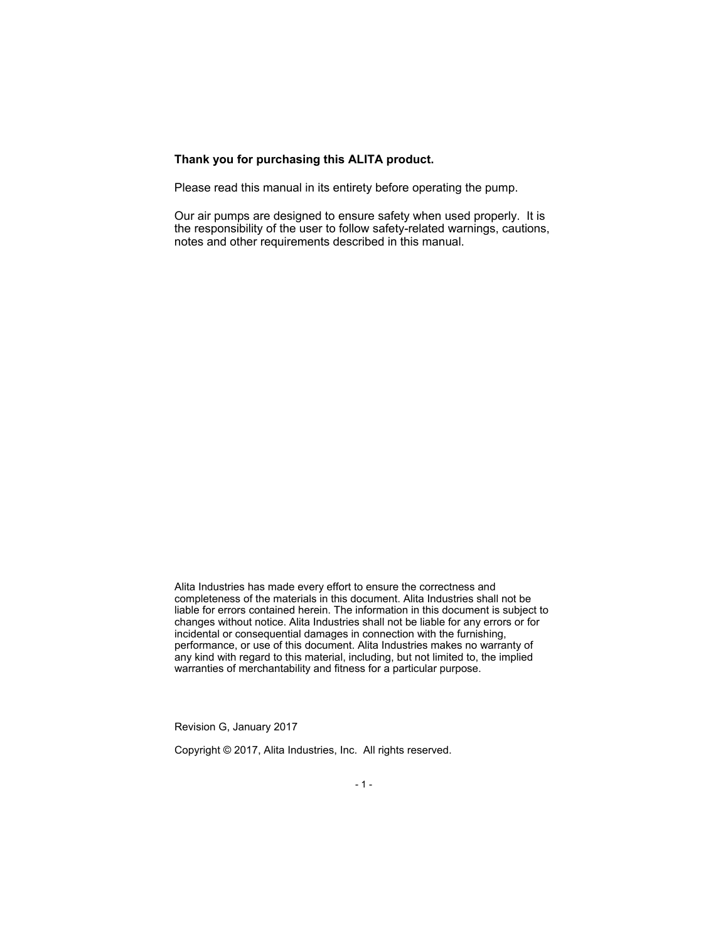#### **Thank you for purchasing this ALITA product.**

Please read this manual in its entirety before operating the pump.

Our air pumps are designed to ensure safety when used properly. It is the responsibility of the user to follow safety-related warnings, cautions, notes and other requirements described in this manual.

Alita Industries has made every effort to ensure the correctness and completeness of the materials in this document. Alita Industries shall not be liable for errors contained herein. The information in this document is subject to changes without notice. Alita Industries shall not be liable for any errors or for incidental or consequential damages in connection with the furnishing, performance, or use of this document. Alita Industries makes no warranty of any kind with regard to this material, including, but not limited to, the implied warranties of merchantability and fitness for a particular purpose.

Revision G, January 2017

Copyright © 2017, Alita Industries, Inc. All rights reserved.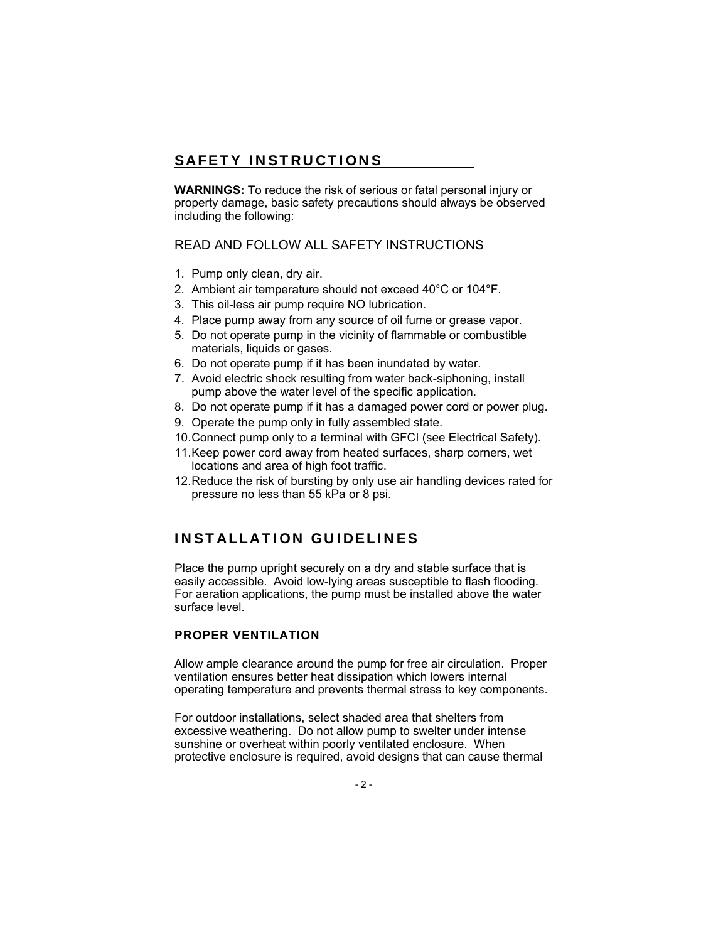# SAFETY INSTRUCTIONS

**WARNINGS:** To reduce the risk of serious or fatal personal injury or property damage, basic safety precautions should always be observed including the following:

### READ AND FOLLOW ALL SAFETY INSTRUCTIONS

- 1. Pump only clean, dry air.
- 2. Ambient air temperature should not exceed 40°C or 104°F.
- 3. This oil-less air pump require NO lubrication.
- 4. Place pump away from any source of oil fume or grease vapor.
- 5. Do not operate pump in the vicinity of flammable or combustible materials, liquids or gases.
- 6. Do not operate pump if it has been inundated by water.
- 7. Avoid electric shock resulting from water back-siphoning, install pump above the water level of the specific application.
- 8. Do not operate pump if it has a damaged power cord or power plug.
- 9. Operate the pump only in fully assembled state.
- 10. Connect pump only to a terminal with GFCI (see Electrical Safety).
- 11. Keep power cord away from heated surfaces, sharp corners, wet locations and area of high foot traffic.
- 12. Reduce the risk of bursting by only use air handling devices rated for pressure no less than 55 kPa or 8 psi.

## INSTALLATION GUIDELINES

Place the pump upright securely on a dry and stable surface that is easily accessible. Avoid low-lying areas susceptible to flash flooding. For aeration applications, the pump must be installed above the water surface level.

#### **PROPER VENTILATION**

Allow ample clearance around the pump for free air circulation. Proper ventilation ensures better heat dissipation which lowers internal operating temperature and prevents thermal stress to key components.

For outdoor installations, select shaded area that shelters from excessive weathering. Do not allow pump to swelter under intense sunshine or overheat within poorly ventilated enclosure. When protective enclosure is required, avoid designs that can cause thermal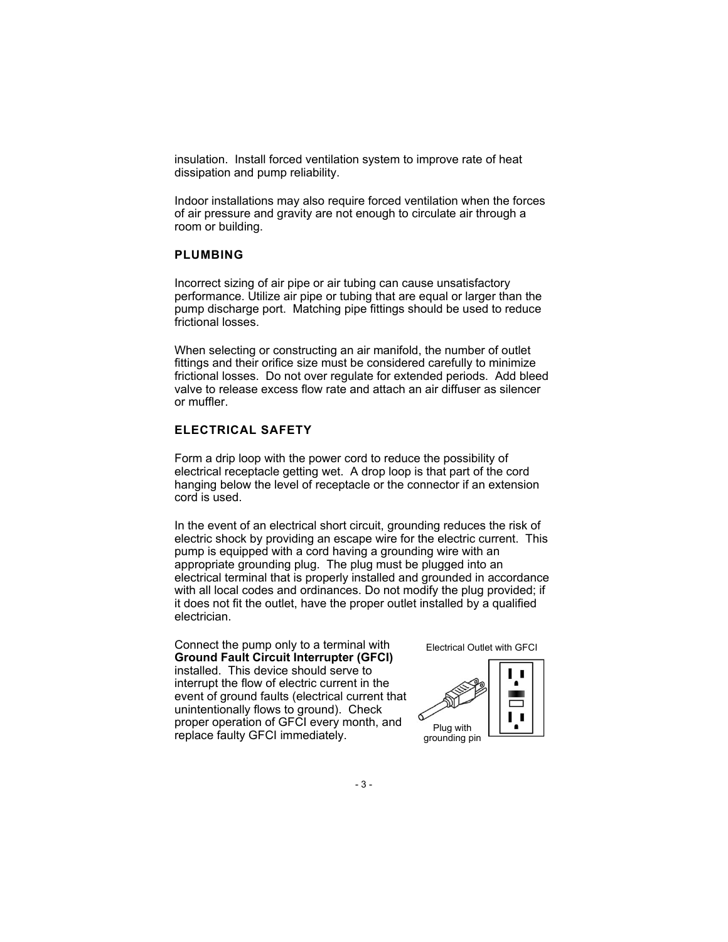insulation. Install forced ventilation system to improve rate of heat dissipation and pump reliability.

Indoor installations may also require forced ventilation when the forces of air pressure and gravity are not enough to circulate air through a room or building.

#### **PLUMBING**

Incorrect sizing of air pipe or air tubing can cause unsatisfactory performance. Utilize air pipe or tubing that are equal or larger than the pump discharge port. Matching pipe fittings should be used to reduce frictional losses.

When selecting or constructing an air manifold, the number of outlet fittings and their orifice size must be considered carefully to minimize frictional losses. Do not over regulate for extended periods. Add bleed valve to release excess flow rate and attach an air diffuser as silencer or muffler.

### **ELECTRICAL SAFETY**

Form a drip loop with the power cord to reduce the possibility of electrical receptacle getting wet. A drop loop is that part of the cord hanging below the level of receptacle or the connector if an extension cord is used.

In the event of an electrical short circuit, grounding reduces the risk of electric shock by providing an escape wire for the electric current. This pump is equipped with a cord having a grounding wire with an appropriate grounding plug. The plug must be plugged into an electrical terminal that is properly installed and grounded in accordance with all local codes and ordinances. Do not modify the plug provided; if it does not fit the outlet, have the proper outlet installed by a qualified electrician.

Connect the pump only to a terminal with **Ground Fault Circuit Interrupter (GFCI)**  installed. This device should serve to interrupt the flow of electric current in the event of ground faults (electrical current that unintentionally flows to ground). Check proper operation of GFCI every month, and proper operation of GPCI every mortur, and plug with<br>replace faulty GFCI immediately.

Electrical Outlet with GFCI



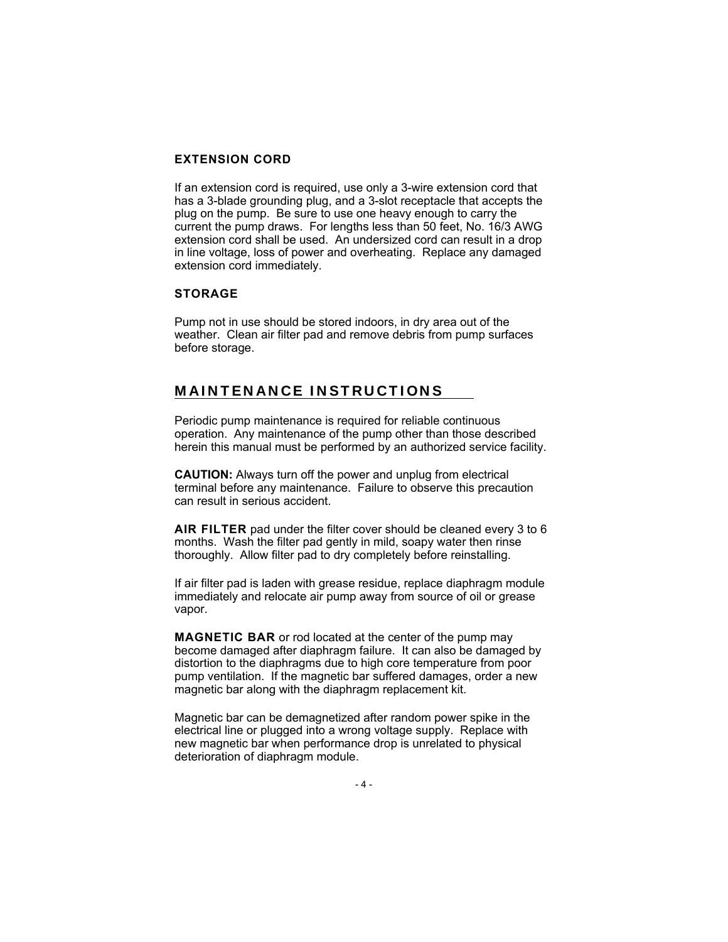#### **EXTENSION CORD**

If an extension cord is required, use only a 3-wire extension cord that has a 3-blade grounding plug, and a 3-slot receptacle that accepts the plug on the pump. Be sure to use one heavy enough to carry the current the pump draws. For lengths less than 50 feet, No. 16/3 AWG extension cord shall be used. An undersized cord can result in a drop in line voltage, loss of power and overheating. Replace any damaged extension cord immediately.

#### **STORAGE**

Pump not in use should be stored indoors, in dry area out of the weather. Clean air filter pad and remove debris from pump surfaces before storage.

## MAINTENANCE INSTRUCTIONS

Periodic pump maintenance is required for reliable continuous operation. Any maintenance of the pump other than those described herein this manual must be performed by an authorized service facility.

**CAUTION:** Always turn off the power and unplug from electrical terminal before any maintenance. Failure to observe this precaution can result in serious accident.

**AIR FILTER** pad under the filter cover should be cleaned every 3 to 6 months. Wash the filter pad gently in mild, soapy water then rinse thoroughly. Allow filter pad to dry completely before reinstalling.

If air filter pad is laden with grease residue, replace diaphragm module immediately and relocate air pump away from source of oil or grease vapor.

**MAGNETIC BAR** or rod located at the center of the pump may become damaged after diaphragm failure. It can also be damaged by distortion to the diaphragms due to high core temperature from poor pump ventilation. If the magnetic bar suffered damages, order a new magnetic bar along with the diaphragm replacement kit.

Magnetic bar can be demagnetized after random power spike in the electrical line or plugged into a wrong voltage supply. Replace with new magnetic bar when performance drop is unrelated to physical deterioration of diaphragm module.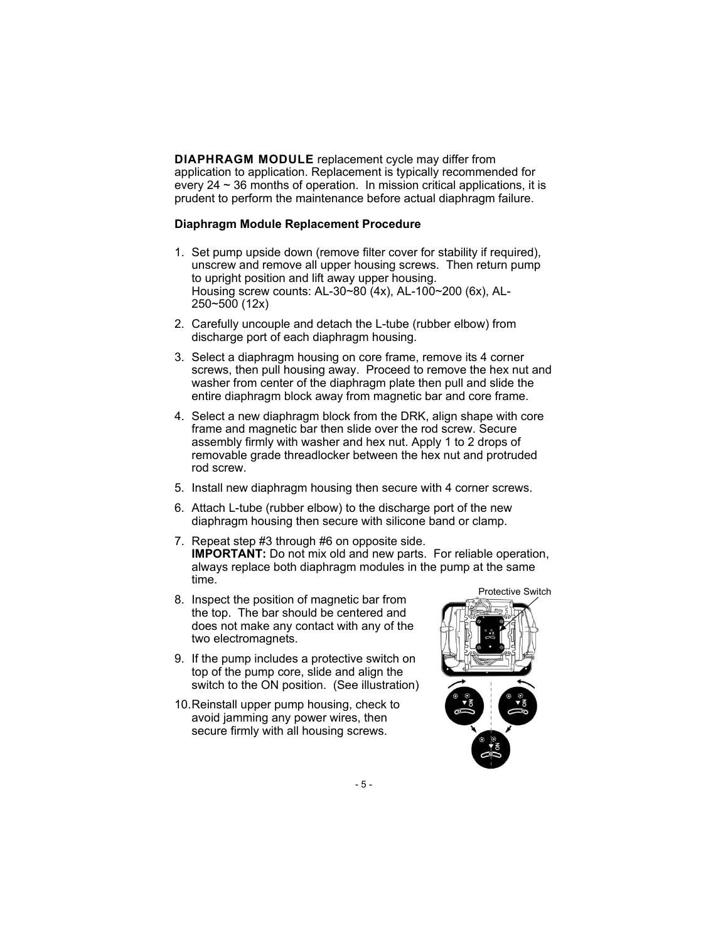**DIAPHRAGM MODULE** replacement cycle may differ from application to application. Replacement is typically recommended for every  $24 \sim 36$  months of operation. In mission critical applications, it is prudent to perform the maintenance before actual diaphragm failure.

#### **Diaphragm Module Replacement Procedure**

- 1. Set pump upside down (remove filter cover for stability if required), unscrew and remove all upper housing screws. Then return pump to upright position and lift away upper housing. Housing screw counts: AL-30~80 (4x), AL-100~200 (6x), AL-250~500 (12x)
- 2. Carefully uncouple and detach the L-tube (rubber elbow) from discharge port of each diaphragm housing.
- 3. Select a diaphragm housing on core frame, remove its 4 corner screws, then pull housing away. Proceed to remove the hex nut and washer from center of the diaphragm plate then pull and slide the entire diaphragm block away from magnetic bar and core frame.
- 4. Select a new diaphragm block from the DRK, align shape with core frame and magnetic bar then slide over the rod screw. Secure assembly firmly with washer and hex nut. Apply 1 to 2 drops of removable grade threadlocker between the hex nut and protruded rod screw.
- 5. Install new diaphragm housing then secure with 4 corner screws.
- 6. Attach L-tube (rubber elbow) to the discharge port of the new diaphragm housing then secure with silicone band or clamp.
- 7. Repeat step #3 through #6 on opposite side. **IMPORTANT:** Do not mix old and new parts. For reliable operation, always replace both diaphragm modules in the pump at the same time.
- 8. Inspect the position of magnetic bar from the top. The bar should be centered and does not make any contact with any of the two electromagnets.
- 9. If the pump includes a protective switch on top of the pump core, slide and align the switch to the ON position. (See illustration)
- 10. Reinstall upper pump housing, check to avoid jamming any power wires, then secure firmly with all housing screws.

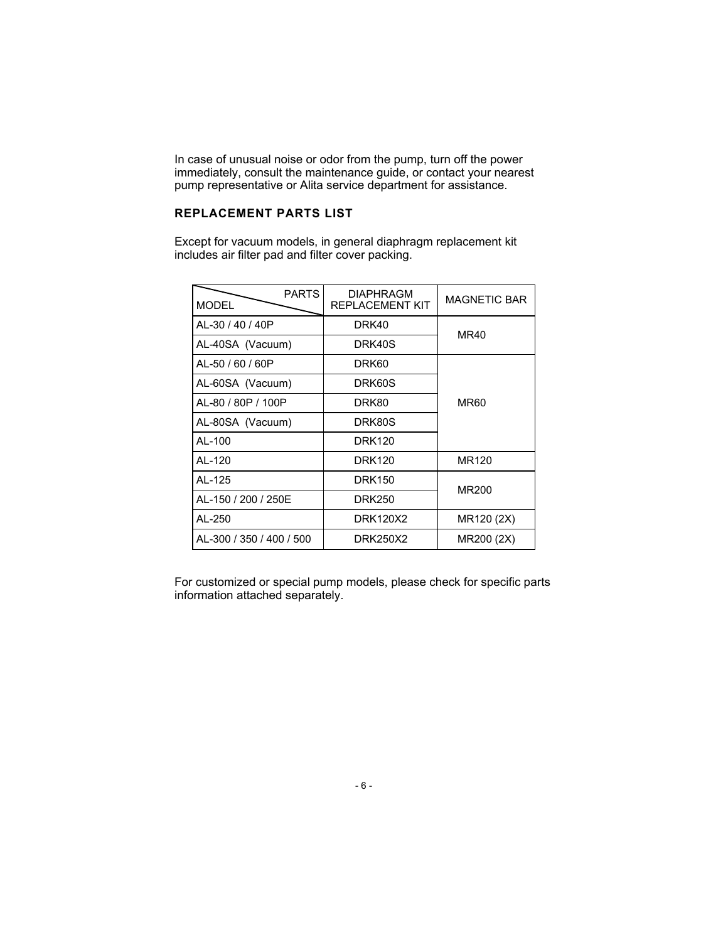In case of unusual noise or odor from the pump, turn off the power immediately, consult the maintenance guide, or contact your nearest pump representative or Alita service department for assistance.

### **REPLACEMENT PARTS LIST**

Except for vacuum models, in general diaphragm replacement kit includes air filter pad and filter cover packing.

| <b>PARTS</b><br><b>MODEL</b> | <b>DIAPHRAGM</b><br><b>REPLACEMENT KIT</b> | <b>MAGNETIC BAR</b> |
|------------------------------|--------------------------------------------|---------------------|
| AL-30 / 40 / 40 P            | DRK40                                      | MR40                |
| AL-40SA (Vacuum)             | DRK40S                                     |                     |
| AL-50 / 60 / 60P             | DRK60                                      | <b>MR60</b>         |
| AL-60SA (Vacuum)             | DRK60S                                     |                     |
| AL-80 / 80P / 100P           | DRK80                                      |                     |
| AL-80SA (Vacuum)             | DRK80S                                     |                     |
| AL-100                       | <b>DRK120</b>                              |                     |
| AL-120                       | <b>DRK120</b>                              | MR120               |
| AI -125                      | <b>DRK150</b>                              | MR200               |
| AL-150 / 200 / 250E          | <b>DRK250</b>                              |                     |
| AL-250                       | DRK120X2                                   | MR120 (2X)          |
| AL-300 / 350 / 400 / 500     | DRK250X2                                   | MR200 (2X)          |

For customized or special pump models, please check for specific parts information attached separately.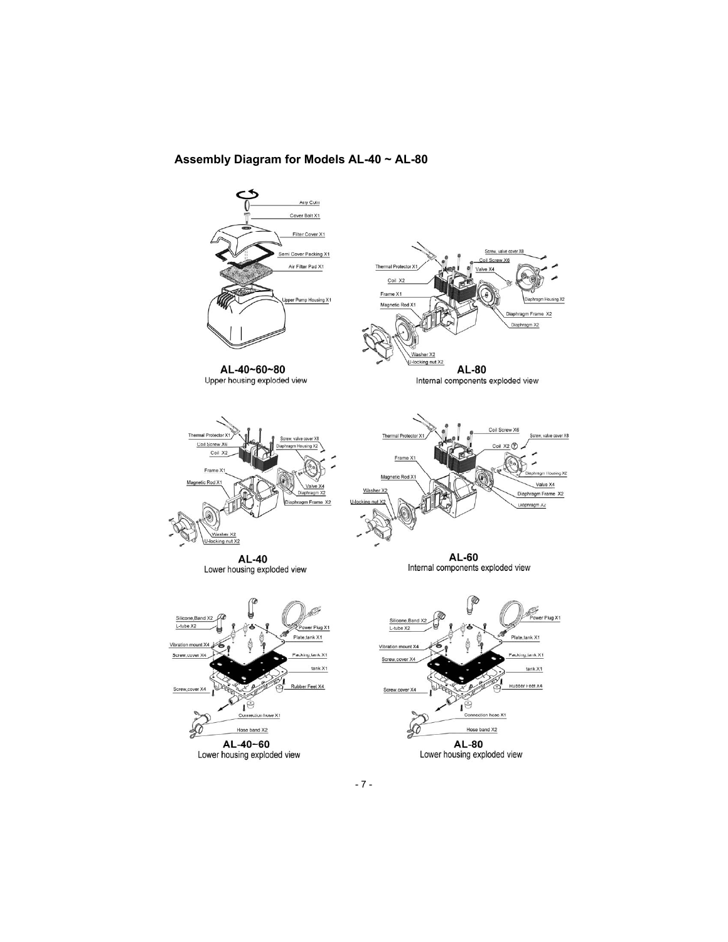#### **Assembly Diagram for Models AL-40 ~ AL-80**

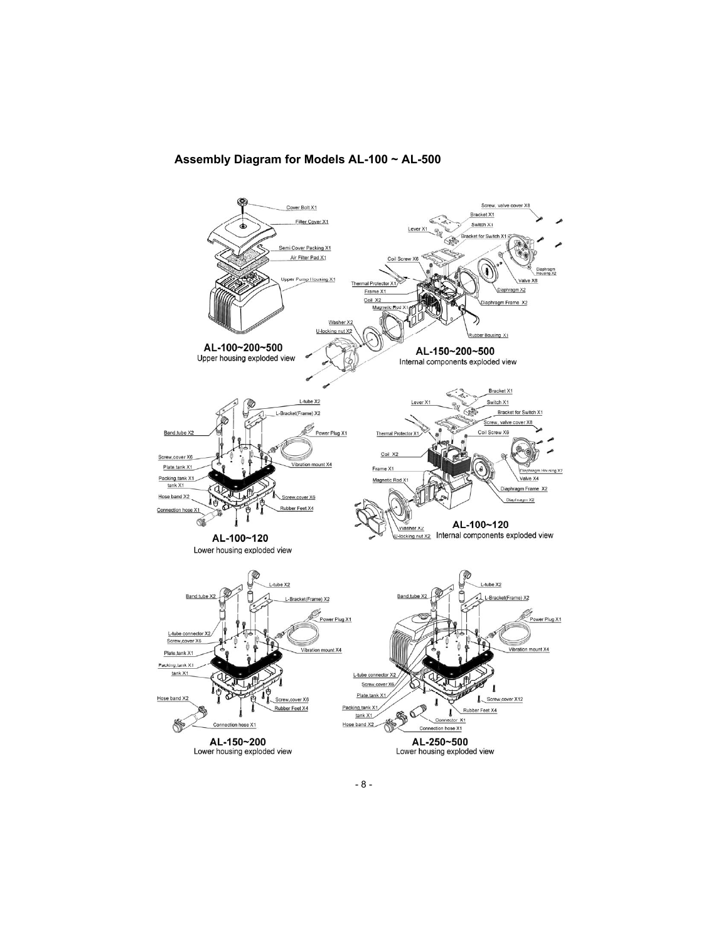#### **Assembly Diagram for Models AL-100 ~ AL-500**

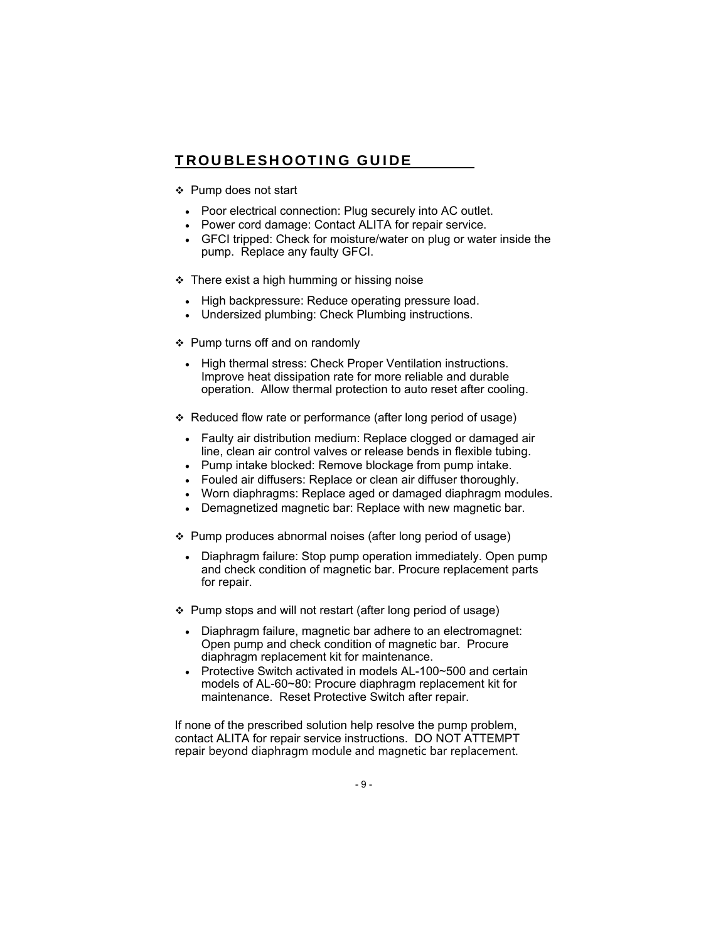# TROUBLESHOOTING GUIDE

- ❖ Pump does not start
	- Poor electrical connection: Plug securely into AC outlet.
	- Power cord damage: Contact ALITA for repair service.
	- GFCI tripped: Check for moisture/water on plug or water inside the pump. Replace any faulty GFCI.
- $\div$  There exist a high humming or hissing noise
	- High backpressure: Reduce operating pressure load.
	- Undersized plumbing: Check Plumbing instructions.
- ❖ Pump turns off and on randomly
	- High thermal stress: Check Proper Ventilation instructions. Improve heat dissipation rate for more reliable and durable operation. Allow thermal protection to auto reset after cooling.
- Reduced flow rate or performance (after long period of usage)
	- Faulty air distribution medium: Replace clogged or damaged air line, clean air control valves or release bends in flexible tubing.
	- Pump intake blocked: Remove blockage from pump intake.
	- Fouled air diffusers: Replace or clean air diffuser thoroughly.
	- Worn diaphragms: Replace aged or damaged diaphragm modules.
	- Demagnetized magnetic bar: Replace with new magnetic bar.
- Pump produces abnormal noises (after long period of usage)
	- Diaphragm failure: Stop pump operation immediately. Open pump and check condition of magnetic bar. Procure replacement parts for repair.
- ❖ Pump stops and will not restart (after long period of usage)
	- Diaphragm failure, magnetic bar adhere to an electromagnet: Open pump and check condition of magnetic bar. Procure diaphragm replacement kit for maintenance.
	- Protective Switch activated in models AL-100~500 and certain models of AL-60~80: Procure diaphragm replacement kit for maintenance. Reset Protective Switch after repair.

If none of the prescribed solution help resolve the pump problem, contact ALITA for repair service instructions. DO NOT ATTEMPT repair beyond diaphragm module and magnetic bar replacement.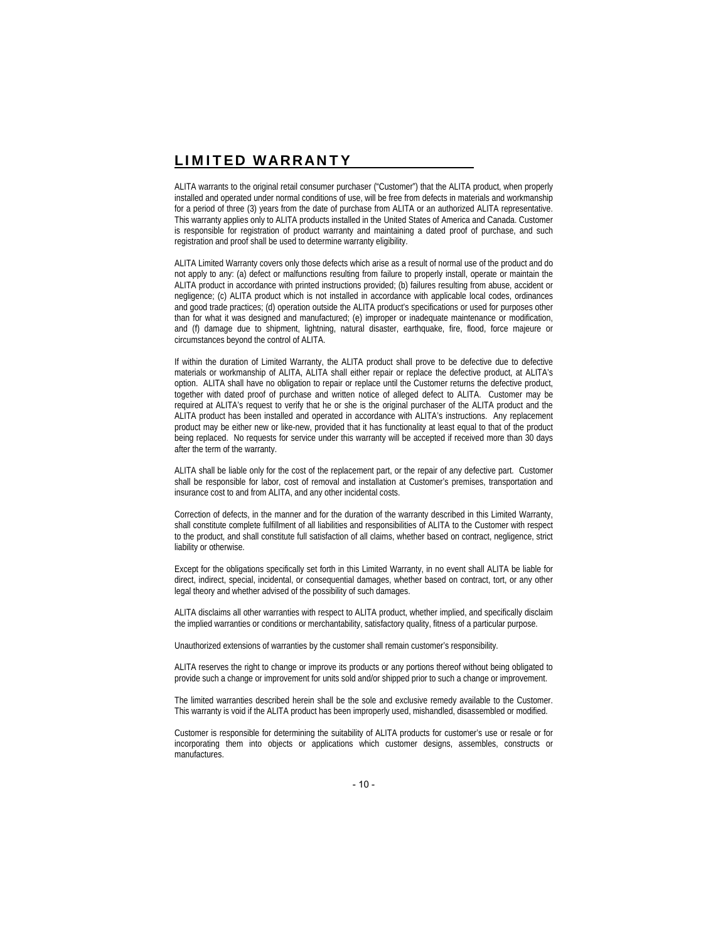## LIMITED WARRANTY

ALITA warrants to the original retail consumer purchaser ("Customer") that the ALITA product, when properly installed and operated under normal conditions of use, will be free from defects in materials and workmanship for a period of three (3) years from the date of purchase from ALITA or an authorized ALITA representative. This warranty applies only to ALITA products installed in the United States of America and Canada. Customer is responsible for registration of product warranty and maintaining a dated proof of purchase, and such registration and proof shall be used to determine warranty eligibility.

ALITA Limited Warranty covers only those defects which arise as a result of normal use of the product and do not apply to any: (a) defect or malfunctions resulting from failure to properly install, operate or maintain the ALITA product in accordance with printed instructions provided; (b) failures resulting from abuse, accident or negligence; (c) ALITA product which is not installed in accordance with applicable local codes, ordinances and good trade practices; (d) operation outside the ALITA product's specifications or used for purposes other than for what it was designed and manufactured; (e) improper or inadequate maintenance or modification, and (f) damage due to shipment, lightning, natural disaster, earthquake, fire, flood, force majeure or circumstances beyond the control of ALITA.

If within the duration of Limited Warranty, the ALITA product shall prove to be defective due to defective materials or workmanship of ALITA, ALITA shall either repair or replace the defective product, at ALITA's option. ALITA shall have no obligation to repair or replace until the Customer returns the defective product, together with dated proof of purchase and written notice of alleged defect to ALITA. Customer may be required at ALITA's request to verify that he or she is the original purchaser of the ALITA product and the ALITA product has been installed and operated in accordance with ALITA's instructions. Any replacement product may be either new or like-new, provided that it has functionality at least equal to that of the product being replaced. No requests for service under this warranty will be accepted if received more than 30 days after the term of the warranty.

ALITA shall be liable only for the cost of the replacement part, or the repair of any defective part. Customer shall be responsible for labor, cost of removal and installation at Customer's premises, transportation and insurance cost to and from ALITA, and any other incidental costs.

Correction of defects, in the manner and for the duration of the warranty described in this Limited Warranty, shall constitute complete fulfillment of all liabilities and responsibilities of ALITA to the Customer with respect to the product, and shall constitute full satisfaction of all claims, whether based on contract, negligence, strict liability or otherwise.

Except for the obligations specifically set forth in this Limited Warranty, in no event shall ALITA be liable for direct, indirect, special, incidental, or consequential damages, whether based on contract, tort, or any other legal theory and whether advised of the possibility of such damages.

ALITA disclaims all other warranties with respect to ALITA product, whether implied, and specifically disclaim the implied warranties or conditions or merchantability, satisfactory quality, fitness of a particular purpose.

Unauthorized extensions of warranties by the customer shall remain customer's responsibility.

ALITA reserves the right to change or improve its products or any portions thereof without being obligated to provide such a change or improvement for units sold and/or shipped prior to such a change or improvement.

The limited warranties described herein shall be the sole and exclusive remedy available to the Customer. This warranty is void if the ALITA product has been improperly used, mishandled, disassembled or modified.

Customer is responsible for determining the suitability of ALITA products for customer's use or resale or for incorporating them into objects or applications which customer designs, assembles, constructs or manufactures.